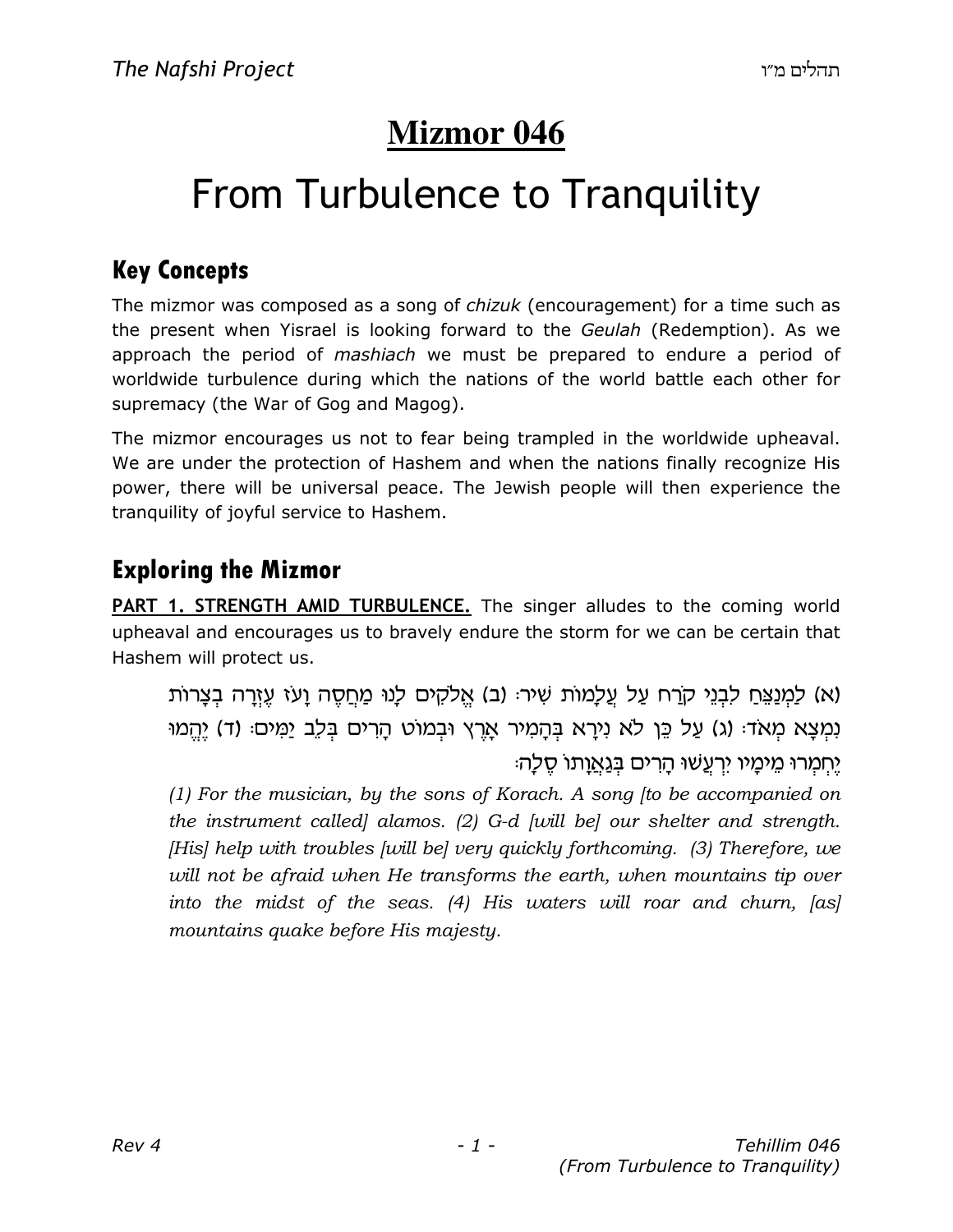# **Mizmor 046**

# From Turbulence to Tranquility

### Key Concepts

The mizmor was composed as a song of *chizuk* (encouragement) for a time such as the present when Yisrael is looking forward to the Geulah (Redemption). As we approach the period of mashiach we must be prepared to endure a period of worldwide turbulence during which the nations of the world battle each other for supremacy (the War of Gog and Magog).

The mizmor encourages us not to fear being trampled in the worldwide upheaval. We are under the protection of Hashem and when the nations finally recognize His power, there will be universal peace. The Jewish people will then experience the tranquility of joyful service to Hashem.

### Exploring the Mizmor

PART 1. STRENGTH AMID TURBULENCE. The singer alludes to the coming world upheaval and encourages us to bravely endure the storm for we can be certain that Hashem will protect us.

(א) לַמְנַצֶּח לִבְנֵי קֹרָח עַל עֵלְמוֹת שִׁיר: (ב) אֱלֹקִים לְנוּ מַחֲסֶה וַעֹּז עֵזֶרָה בְצַרוֹת נִמְצָא מִאֹד: (ג) עַל כֵּן לֹא נִירָא בִּהָמִיר אָרֵץ וּבְמוֹט הָרִים בְּלֵב יַמִּים: (ד) יֵהֵמוּ יחמרו מימיו ירְעֵשׁוּ הַרִים בְּג<u>ַא</u>וַתו סֶלַה:

(1) For the musician, by the sons of Korach. A song [to be accompanied on the instrument called] alamos. (2) G-d [will be] our shelter and strength. [His] help with troubles [will be] very quickly forthcoming. (3) Therefore, we will not be afraid when He transforms the earth, when mountains tip over into the midst of the seas. (4) His waters will roar and churn, [as] mountains quake before His majesty.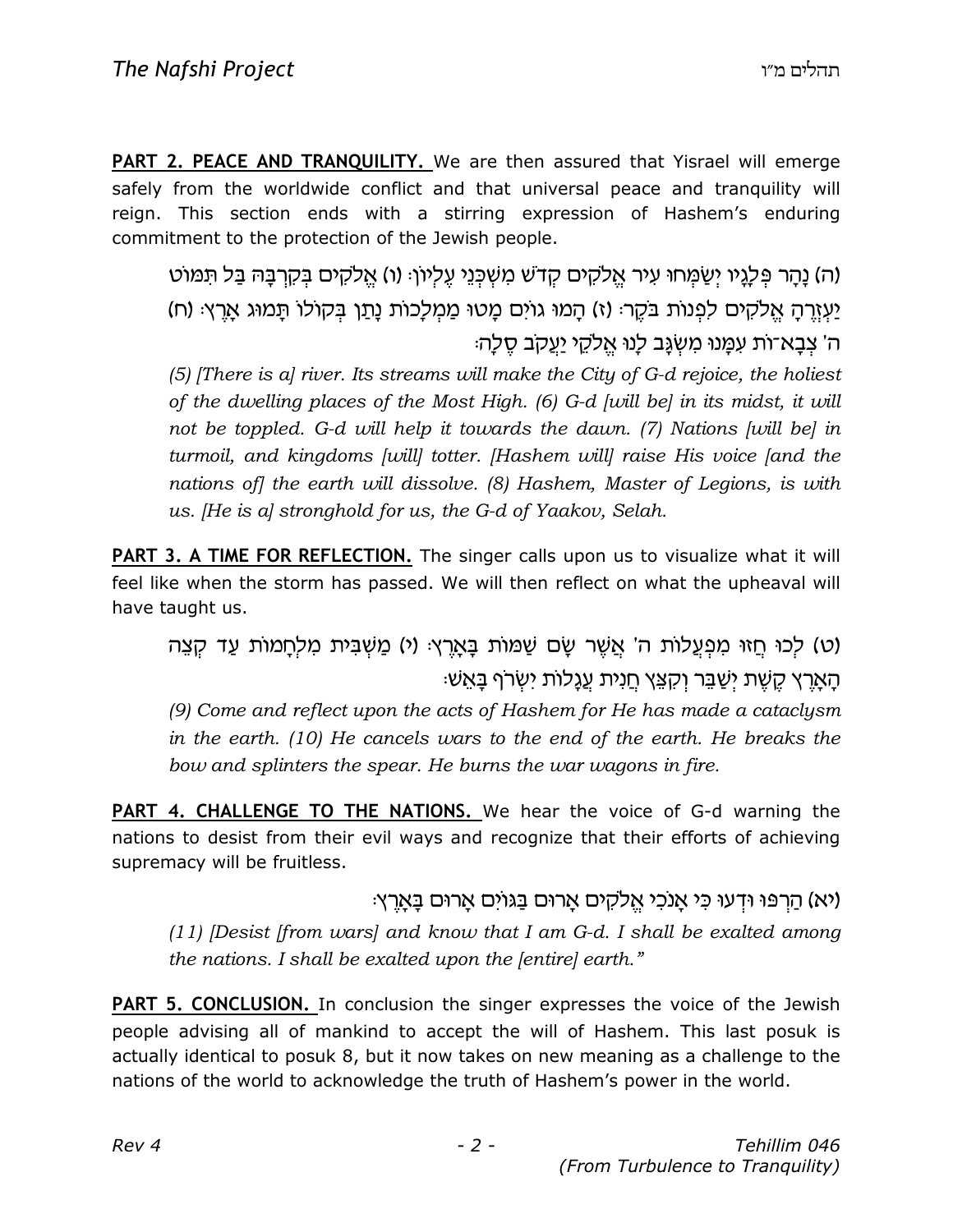**PART 2. PEACE AND TRANQUILITY.** We are then assured that Yisrael will emerge safely from the worldwide conflict and that universal peace and tranquility will reign. This section ends with a stirring expression of Hashem's enduring commitment to the protection of the Jewish people.

(ה) נַהַר פִּלְגֵיו יִשְׂמֶחוּ עִיר אֱלֹקִים קָדֹשׁ מִשְׁכְּנֵי עֵלְיוֹן: (ו) אֱלֹקִים בִּקְרַבָּהּ בַּל תִּמּוֹט יַעְזֶרֶה אֱלֹקִים לְפָנוֹת בֹּקֶר: (ז) הַמוּ גוֹיִם מֵטוּ מַמְלָכוֹת נַתַּן בִּקוֹלוֹ תַּמוּג אַרֶץ: (ח) ה' צִבַא־וֹת עִמֲנוּ מִשְׂגֵּב לְנוּ אֱלֹקֶי יַעֲקֹב סֶלַהּ

 $(5)$  [There is a] river. Its streams will make the City of G-d rejoice, the holiest of the dwelling places of the Most High. (6) G-d [will be] in its midst, it will not be toppled. G-d will help it towards the dawn. (7) Nations [will be] in turmoil, and kingdoms [will] totter. [Hashem will] raise His voice [and the nations of] the earth will dissolve. (8) Hashem, Master of Legions, is with us. [He is a] stronghold for us, the G-d of Yaakov, Selah.

PART 3. A TIME FOR REFLECTION. The singer calls upon us to visualize what it will feel like when the storm has passed. We will then reflect on what the upheaval will have taught us.

(ט) לכוּ חַזוּ מִפְעֲלוֹת ה' אֲשֶׁר שֶׂם שָׁמּוֹת בַּאֲרֵץ: (י) מֵשָׁבִּית מַלְחֲמוֹת עַד קָצֶה הארץ קַשַׁת יִשַּׁבֵּר וְקַצֵּץ חֲנִית עֲגַלוֹת יְשָׂרֹף בַּאֲשָׁ

(9) Come and reflect upon the acts of Hashem for He has made a cataclysm in the earth. (10) He cancels wars to the end of the earth. He breaks the bow and splinters the spear. He burns the war wagons in fire.

PART 4. CHALLENGE TO THE NATIONS. We hear the voice of G-d warning the nations to desist from their evil ways and recognize that their efforts of achieving supremacy will be fruitless.

וא) הַרְפּוּ וּדְעוּ כִּי אֲנֹכִי אֱלֹקִים אֲרוּם בַּגּוֹיִם אֲרוּם בַּאֲרֵץ. (11) [Desist [from wars] and know that I am  $G-d$ . I shall be exalted among the nations. I shall be exalted upon the [entire] earth."

PART 5. CONCLUSION. In conclusion the singer expresses the voice of the Jewish people advising all of mankind to accept the will of Hashem. This last posuk is actually identical to posuk 8, but it now takes on new meaning as a challenge to the nations of the world to acknowledge the truth of Hashem's power in the world.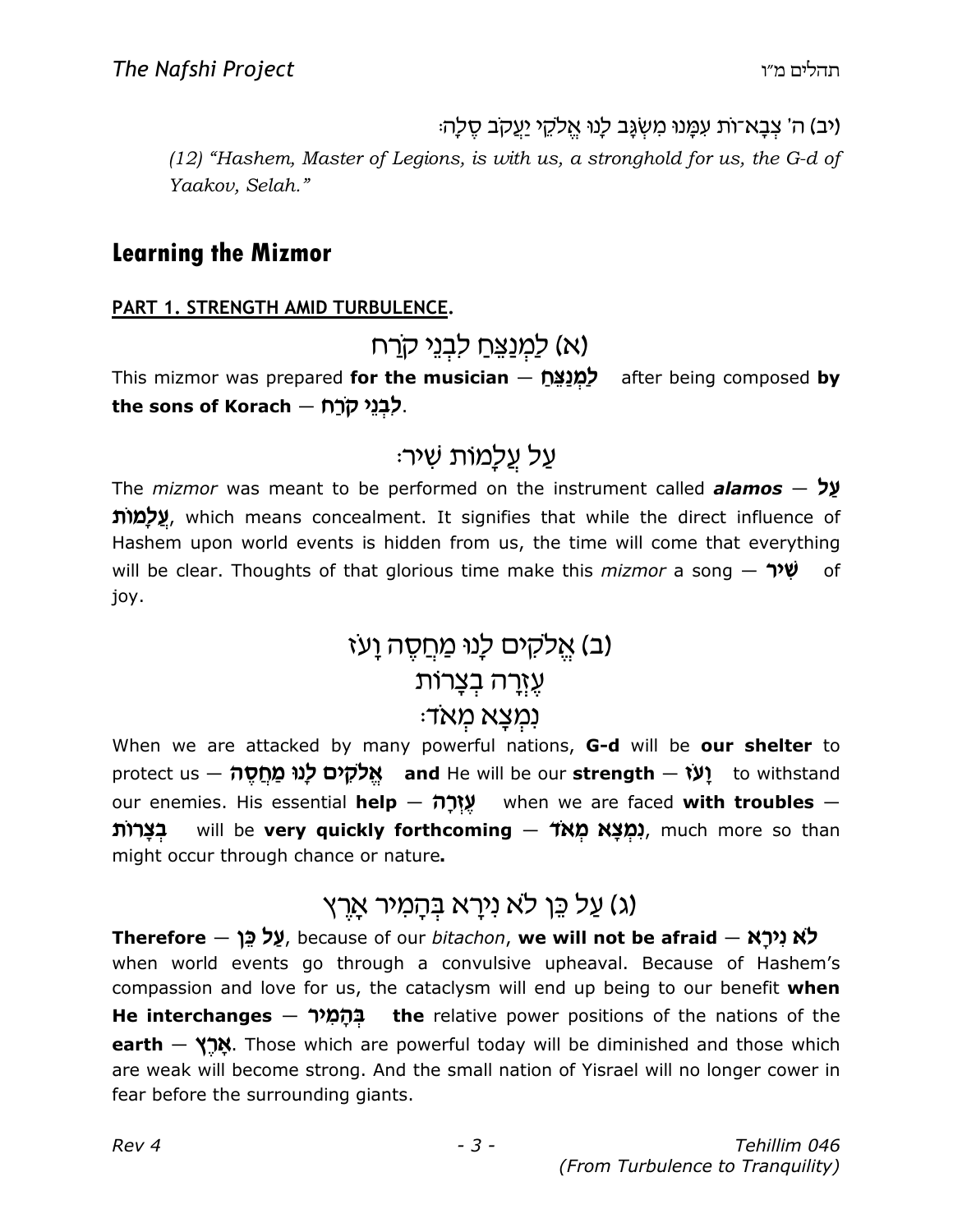וּיב) ה' צִבַא־וֹת עִמֲנוּ מִשְׂגֵּב לָנוּ אֱלֹקֶי יַעֲקֹב סֶלַה:

(12) "Hashem, Master of Legions, is with us, a stronghold for us, the G-d of Yaakov, Selah."

#### Learning the Mizmor

#### PART 1. STRENGTH AMID TURBULENCE.

(א) לַמְנַצֵּחַ לבְנֵי ק<u>ר</u>ח

This mizmor was prepared **for the musician** – למנצח after being composed by the sons of Korach – לְבָנֵי קֹרַח.

### ּעֲל עֲלַמוֹת שִׁיר

The *mizmor* was meant to be performed on the instrument called **alamos**  $-$  **y** שֵׁלָמוֹת, which means concealment. It signifies that while the direct influence of Hashem upon world events is hidden from us, the time will come that everything will be clear. Thoughts of that glorious time make this *mizmor* a song  $\gamma$   $\psi$  of joy.

### (ב) אֵלקים לְנוּ מַחֲסֵה וָעֹז עֵזָרָה בִצָרוֹת :נמִצַא מַאד

When we are attacked by many powerful nations, G-d will be our shelter to protect us  $\frac{d}{dx}$ לקים לוו $x$  and He will be our strength  $-$  (W) to withstand our enemies. His essential **help**  $-\frac{m}{2}$  when we are faced with troubles  $-$ **מצא מאד c will be very quickly forthcoming — מצא מאד**), much more so than might occur through chance or nature.

# (ג) עַל כֵּן לֹא נִירַא בְּהַמְיר אַרֵץ)

Therefore – עַל כֵּן because of our bitachon, we will not be afraid – לא נירַא when world events go through a convulsive upheaval. Because of Hashem's compassion and love for us, the cataclysm will end up being to our benefit when He interchanges  $-$  בְּהָמָיר the relative power positions of the nations of the earth – אֲרֵץ. Those which are powerful today will be diminished and those which are weak will become strong. And the small nation of Yisrael will no longer cower in fear before the surrounding giants.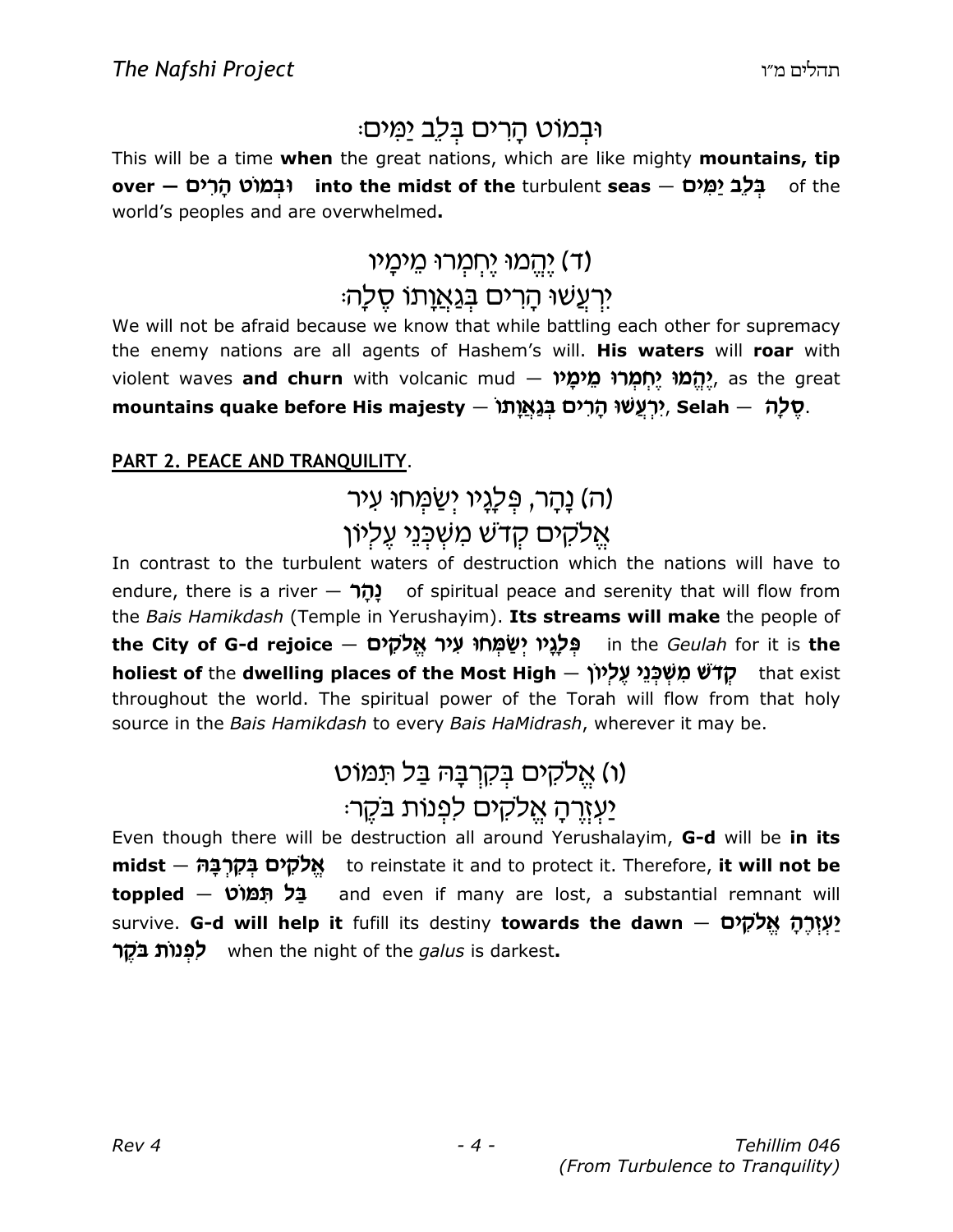# וּבְמוֹט הַרִים בִּלֶב יַמִּים:

This will be a time when the great nations, which are like mighty mountains, tip over – בְּלֶב יַמְים into the midst of the turbulent seas – בְּלֶב יַמְים world's peoples and are overwhelmed.

# <u>ו יְהֵ</u>מוּ יֵחְמְרוּ מֵימַיו) (ד

### יִרְעֲשׁוּ הָרִים ב<u>ִּנְא</u>וַתוֹ סֵלַה

We will not be afraid because we know that while battling each other for supremacy the enemy nations are all agents of Hashem's will. His waters will roar with violent waves **and churn** with volcanic mud – מ**ְמֹמוֹ מֵימַל ,** as the great mountains quake before His majesty — יָרְעֲשׁוּ הַרְים בְּגֶאֱוֶתוֹ, Selah — יָ

#### PART 2. PEACE AND TRANQUILITY.

### (ה) נַהָר, פִּלַ*נֶּיו יִ*שַׂמְּחוּ עִיר אַלקים קדשׁ משִׁכְּגֵי עֶלְיוֹן

In contrast to the turbulent waters of destruction which the nations will have to endure, there is a river  $-$  פֿרל $\geq$  of spiritual peace and serenity that will flow from the Bais Hamikdash (Temple in Yerushayim). Its streams will make the people of the City of G-d rejoice – פִּלָגֵי יִשַׁמְחוּ עִיר אֱלֹקִים holiest of the dwelling places of the Most High – קדשׁ מְשִׁכְּנֵי עֲלִיוֹ throughout the world. The spiritual power of the Torah will flow from that holy source in the Bais Hamikdash to every Bais HaMidrash, wherever it may be.

# (ו) אֱלקים בְּקִרְבָּה בַּל תִּמוֹט <u>יעורה אלקים לפנות בקר:</u>

Even though there will be destruction all around Yerushalayim, G-d will be in its midst — אֱלֹקֶים בִּקְרִבָּהּ to reinstate it and to protect it. Therefore, it will not be toppled – בַּל תְּמוֹט and even if many are lost, a substantial remnant will survive. G-d will help it fufill its destiny towards the dawn — יַעְזְרֵהָ אֱלֹקָים r e«C ,«ub pk when the night of the galus is darkest.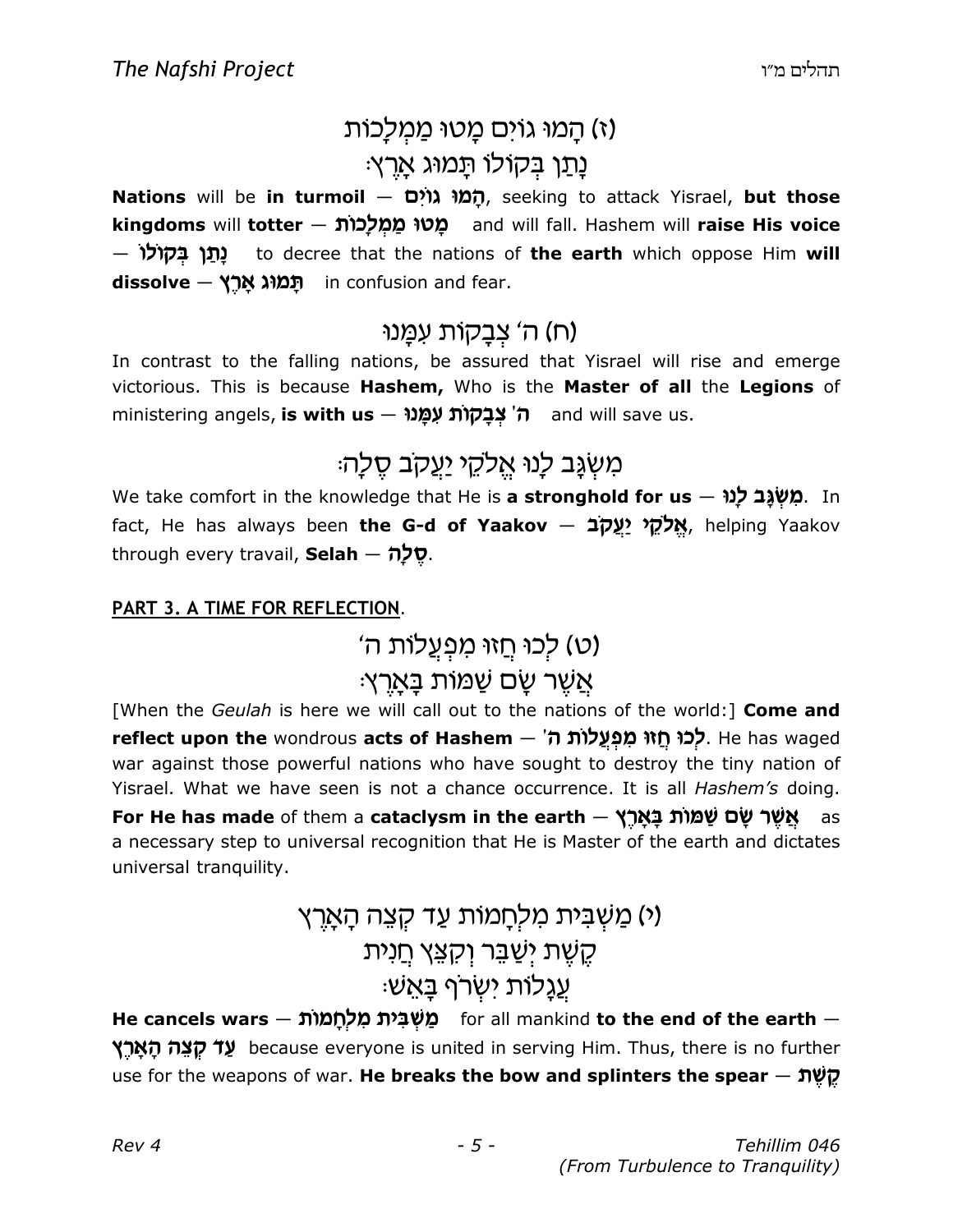# (ז) <u>ה</u>מוּ גוֹיִם מֵטוּ מֵמְלֵכוֹת נַתַן בִּקוֹלוֹ תַּמוּג אַרֵץ:

Nations will be in turmoil – הַמוּ גוֹיָם, seeking to attack Yisrael, but those kingdoms will totter – מֵטוּ מַמְלְכוֹת and will fall. Hashem will raise His voice — נַתֲן בִּקוֹלוֹ to decree that the nations of the earth which oppose Him will dissolve — תְמוֹג אֲרֵץ in confusion and fear.

#### (ח) ה' צִבָקוֹת עמָנוּ

In contrast to the falling nations, be assured that Yisrael will rise and emerge victorious. This is because Hashem, Who is the Master of all the Legions of ministering angels, **is with us – לְ צְבַקְוֹת עִמְּנוּ f** and will save us.

# מִשְׂנֶב לָנוּ אֱלֹקֵי יַעֲקִב סֵלָהּ

We take comfort in the knowledge that He is **a stronghold for us - מִשְׁגָּב לַנוּ** fact, He has always been the G-d of Yaakov - אֱלֹקֵי יַעֲקָב, helping Yaakov through every travail, Selah - שֵׁלַה

#### PART 3. A TIME FOR REFLECTION.

(ט) לכוּ חֵזוּ מִפְעֲלוֹת ה'

### ּאֲשֶׁר שֵׂם שַׁמּוֹת בַּאַרֵץ

[When the Geulah is here we will call out to the nations of the world:] Come and reflect upon the wondrous acts of Hashem - לְכוּ חַזוּ מִפְעֲלוֹת ה'. He has waged war against those powerful nations who have sought to destroy the tiny nation of Yisrael. What we have seen is not a chance occurrence. It is all Hashem's doing. For He has made of them a cataclysm in the earth — אַשַּׁר שַׂם שַׁמַּוֹת בַאֲרָץ a necessary step to universal recognition that He is Master of the earth and dictates universal tranquility.

# <u>(י) מַשָּׁבִּית מַלַחֲמוֹת עַד קָצֶה הַאַרְ</u>ץ קֵשֶׁת יִשַּׁבֵּר וְקִצֵּץ <u>ח</u>ִנִית ּעֲגָלוֹת ישִׂרף בָּאֵשׁ

He cancels wars — מֵשְׁבִּית מִלְחֲמוֹת – for all mankind to the end of the earth י עַד קצָה הַאַרֵץ because everyone is united in serving Him. Thus, there is no further use for the weapons of war. He breaks the bow and splinters the spear  $\pi$ לֵ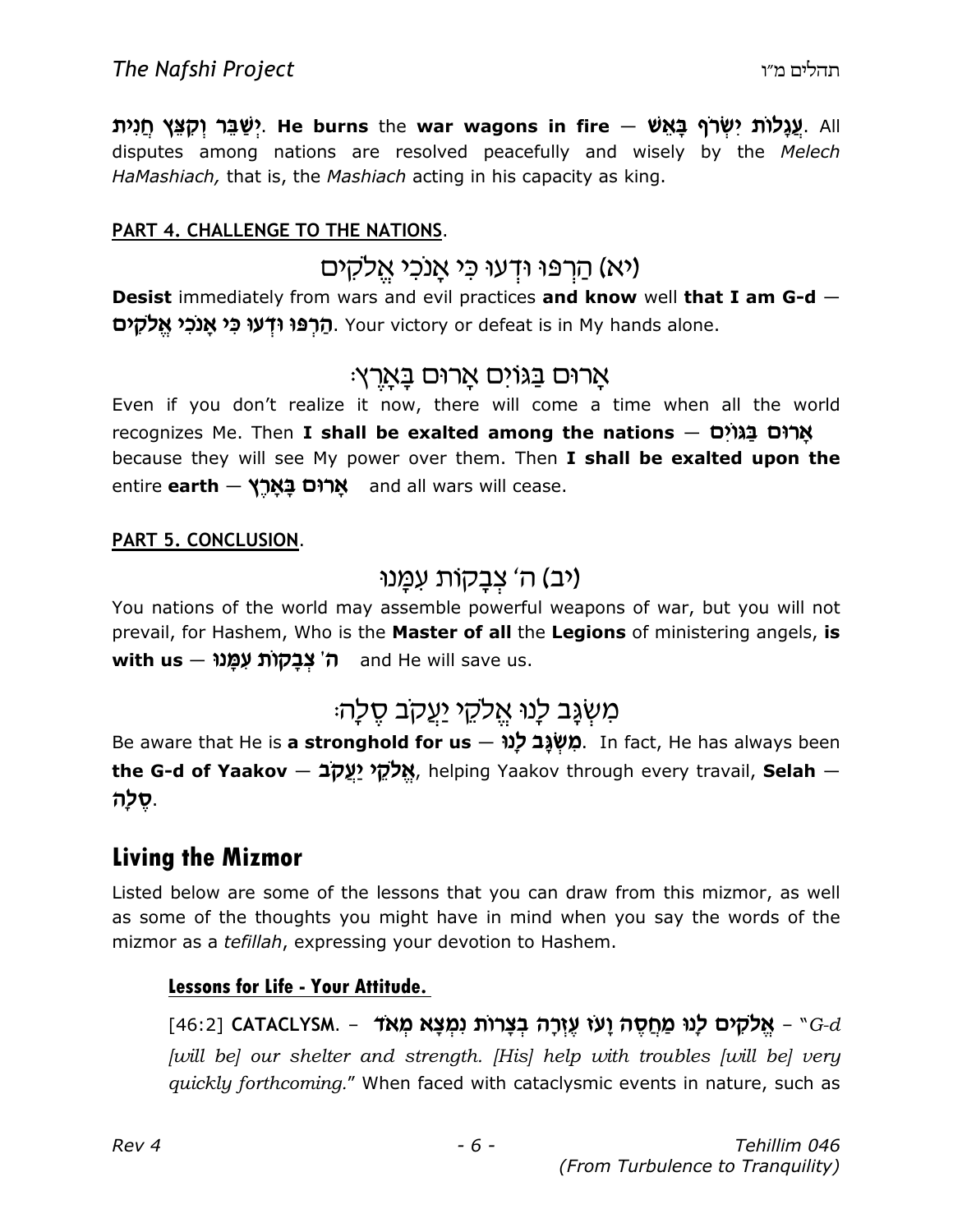יַשֲבֵּר יִקְצֵּץ חֵנִית (שַׁבֵּר יִקְצֵּץ חֵנִית He burns the war wagons in fire — עֲגֲלוֹת יִשְׂר disputes among nations are resolved peacefully and wisely by the Melech HaMashiach, that is, the Mashiach acting in his capacity as king.

#### PART 4. CHALLENGE TO THE NATIONS.

#### (יא) הַרִפּוּ וּדְעוּ כִּי אֲנכִי אֵלקים

Desist immediately from wars and evil practices and know well that I am G-d -הרפו ודעו כי אנכי אלקים. Your victory or defeat is in My hands alone.

#### אָרוּם בַּגוֹים אָרוּם בָּאָרֵץ:

Even if you don't realize it now, there will come a time when all the world recognizes Me. Then **I shall be exalted among the nations — ארוּם בגוֹים** because they will see My power over them. Then I shall be exalted upon the entire **earth — אֲרוּם בַאֲרֵץ and all wars will cease.** 

#### PART 5. CONCLUSION.

#### (יב) ה' צִבָקות עמָנוּ

You nations of the world may assemble powerful weapons of war, but you will not prevail, for Hashem, Who is the Master of all the Legions of ministering angels, is with us - ה' צַבַקוֹת עָמֵנוּ

# מִשְׂנֶב לְנוּ אֱלֹקֵי <u>יִעֲ</u>קָב סֵלַה:

Be aware that He is a stronghold for us - מִשְׁגָּב לְנוּ. In fact, He has always been the G-d of Yaakov — אֱלֹקֶי יַעֱקֹב, helping Yaakov through every travail, Selah — .סֵלְה

#### Living the Mizmor

Listed below are some of the lessons that you can draw from this mizmor, as well as some of the thoughts you might have in mind when you say the words of the mizmor as a tefillah, expressing your devotion to Hashem.

#### Lessons for Life - Your Attitude.

#### $[46:2]$  CATACLYSM. - אֵלקים לָנוּ מַחֲסֶה וָעוֹ עֶזְרָה בְצָרוֹת וִמְצָא מְאד  $G-d$ [will be] our shelter and strength. [His] help with troubles [will be] very quickly forthcoming." When faced with cataclysmic events in nature, such as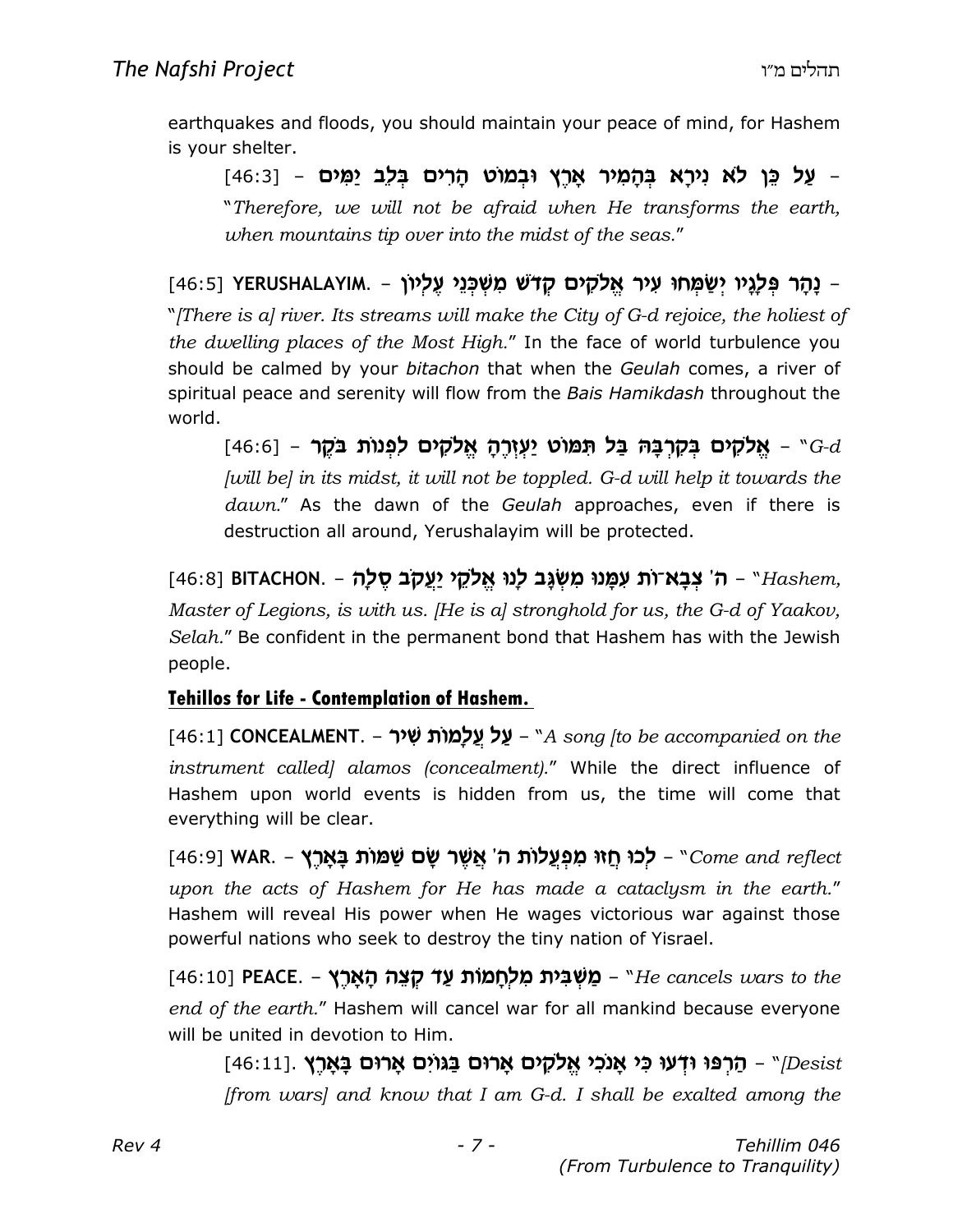earthquakes and floods, you should maintain your peace of mind, for Hashem is your shelter.

על כֵּן לֹא נִירַא בְּהָמִיר אֲרֵץ וּבְמוֹט הַרִים בְּלֵב יַמִּים - [46:3] -"Therefore, we will not be afraid when He transforms the earth, when mountains tip over into the midst of the seas."

[16:5] YERUSHALAYIM. – נַהַר פִּלַגֵּיו יִשַּׂמְחוּ עִיר אֱלֹקָים קָדשׁ מִשְׁכְּנֵי עֵלְיוֹ "[There is a] river. Its streams will make the City of G-d rejoice, the holiest of the dwelling places of the Most High." In the face of world turbulence you should be calmed by your bitachon that when the Geulah comes, a river of spiritual peace and serenity will flow from the Bais Hamikdash throughout the world.

 $[46:6]$  – אַלקים בַּקְרְבַּהּ בַּל תְּמוֹט יַעְזְרָהָ אֲלֹקים לְפְנוֹת בֹּקֶר –  $G-d$ [will be] in its midst, it will not be toppled. G-d will help it towards the  $dawn."$  As the dawn of the Geulah approaches, even if there is destruction all around, Yerushalayim will be protected.

[46:8] HITACHON. – ה' צִבָא־וֹת עִמְנוּ מִשְׁגָּב לָנוּ אֱלֹקֵי יַעֵקֹב סֵלָה – "Hashem, Master of Legions, is with us. [He is a] stronghold for us, the G-d of Yaakov, Selah." Be confident in the permanent bond that Hashem has with the Jewish people.

#### Tehillos for Life - Contemplation of Hashem.

[46:1] CONCEALMENT. – על עלמות שיר – "A song [to be accompanied on the instrument called) alamos (concealment)." While the direct influence of Hashem upon world events is hidden from us, the time will come that everything will be clear.

[46:9] WAR. – לְכוּ חַזוּ מִפְעֲלוֹת ה' אֲשֶׁר שָׂם שַׁמּוֹת בָאָרֶץ (46:9] WAR. upon the acts of Hashem for He has made a cataclysm in the earth." Hashem will reveal His power when He wages victorious war against those powerful nations who seek to destroy the tiny nation of Yisrael.

 $[46:10]$  PEACE. – מַשְׁבִּית מִלְחַמוֹת עַד קצָה הַאֲרֵץ – "He cancels wars to the end of the earth." Hashem will cancel war for all mankind because everyone will be united in devotion to Him.

[16:11]. הרפו ודעו כי אַנכי אֱלקים אַרוּם בַּגוֹיִם אָרוּם בָאָרֵץ [46:11] [from wars] and know that I am  $G-d$ . I shall be exalted among the